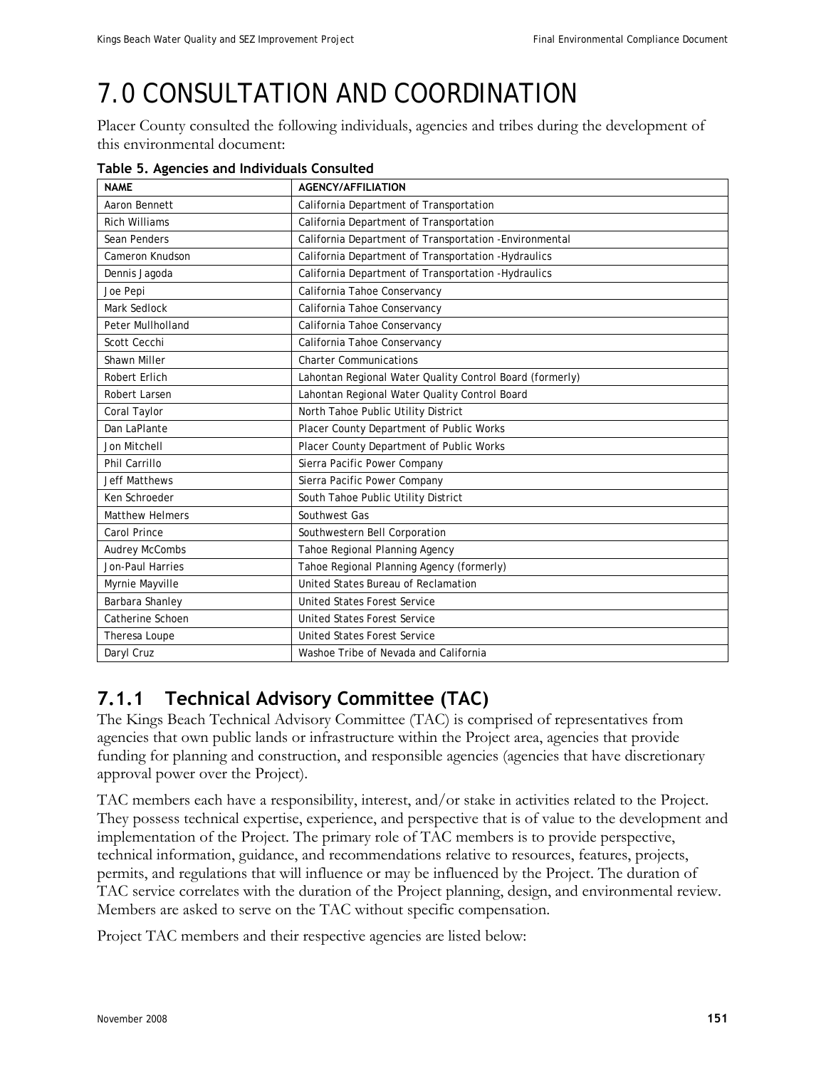## 7.0 CONSULTATION AND COORDINATION

Placer County consulted the following individuals, agencies and tribes during the development of this environmental document:

| <b>NAME</b>            | <b>AGENCY/AFFILIATION</b>                                |  |
|------------------------|----------------------------------------------------------|--|
| Aaron Bennett          | California Department of Transportation                  |  |
| <b>Rich Williams</b>   | California Department of Transportation                  |  |
| Sean Penders           | California Department of Transportation - Environmental  |  |
| Cameron Knudson        | California Department of Transportation - Hydraulics     |  |
| Dennis Jagoda          | California Department of Transportation - Hydraulics     |  |
| Joe Pepi               | California Tahoe Conservancy                             |  |
| Mark Sedlock           | California Tahoe Conservancy                             |  |
| Peter Mullholland      | California Tahoe Conservancy                             |  |
| Scott Cecchi           | California Tahoe Conservancy                             |  |
| Shawn Miller           | <b>Charter Communications</b>                            |  |
| Robert Erlich          | Lahontan Regional Water Quality Control Board (formerly) |  |
| Robert Larsen          | Lahontan Regional Water Quality Control Board            |  |
| Coral Taylor           | North Tahoe Public Utility District                      |  |
| Dan LaPlante           | Placer County Department of Public Works                 |  |
| Jon Mitchell           | Placer County Department of Public Works                 |  |
| Phil Carrillo          | Sierra Pacific Power Company                             |  |
| <b>Jeff Matthews</b>   | Sierra Pacific Power Company                             |  |
| Ken Schroeder          | South Tahoe Public Utility District                      |  |
| <b>Matthew Helmers</b> | Southwest Gas                                            |  |
| Carol Prince           | Southwestern Bell Corporation                            |  |
| <b>Audrey McCombs</b>  | Tahoe Regional Planning Agency                           |  |
| Jon-Paul Harries       | Tahoe Regional Planning Agency (formerly)                |  |
| Myrnie Mayville        | United States Bureau of Reclamation                      |  |
| Barbara Shanley        | <b>United States Forest Service</b>                      |  |
| Catherine Schoen       | <b>United States Forest Service</b>                      |  |
| Theresa Loupe          | <b>United States Forest Service</b>                      |  |
| Daryl Cruz             | Washoe Tribe of Nevada and California                    |  |

**Table 5. Agencies and Individuals Consulted** 

## **7.1.1 Technical Advisory Committee (TAC)**

The Kings Beach Technical Advisory Committee (TAC) is comprised of representatives from agencies that own public lands or infrastructure within the Project area, agencies that provide funding for planning and construction, and responsible agencies (agencies that have discretionary approval power over the Project).

TAC members each have a responsibility, interest, and/or stake in activities related to the Project. They possess technical expertise, experience, and perspective that is of value to the development and implementation of the Project. The primary role of TAC members is to provide perspective, technical information, guidance, and recommendations relative to resources, features, projects, permits, and regulations that will influence or may be influenced by the Project. The duration of TAC service correlates with the duration of the Project planning, design, and environmental review. Members are asked to serve on the TAC without specific compensation.

Project TAC members and their respective agencies are listed below: